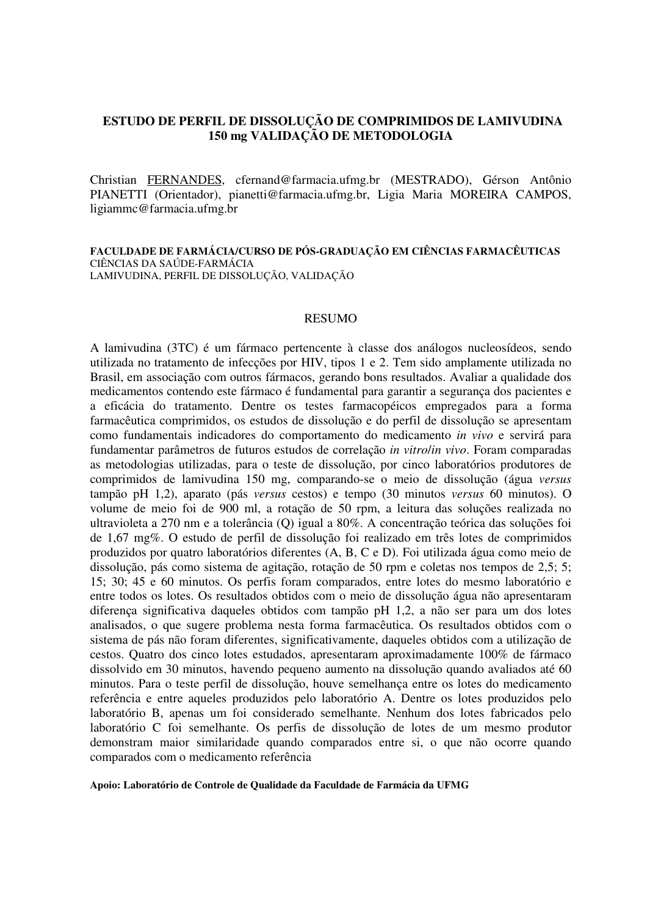# **ESTUDO DE PERFIL DE DISSOLUÇÃO DE COMPRIMIDOS DE LAMIVUDINA 150 mg VALIDAÇÃO DE METODOLOGIA**

Christian FERNANDES, cfernand@farmacia.ufmg.br (MESTRADO), Gérson Antônio PIANETTI (Orientador), pianetti@farmacia.ufmg.br, Ligia Maria MOREIRA CAMPOS, ligiammc@farmacia.ufmg.br

#### **FACULDADE DE FARMÁCIA/CURSO DE PÓS-GRADUAÇÃO EM CIÊNCIAS FARMACÊUTICAS**  CIÊNCIAS DA SAÚDE-FARMÁCIA LAMIVUDINA, PERFIL DE DISSOLUÇÃO, VALIDAÇÃO

### **RESUMO**

A lamivudina (3TC) é um fármaco pertencente à classe dos análogos nucleosídeos, sendo utilizada no tratamento de infecções por HIV, tipos 1 e 2. Tem sido amplamente utilizada no Brasil, em associação com outros fármacos, gerando bons resultados. Avaliar a qualidade dos medicamentos contendo este fármaco é fundamental para garantir a segurança dos pacientes e a eficácia do tratamento. Dentre os testes farmacopéicos empregados para a forma farmacêutica comprimidos, os estudos de dissolução e do perfil de dissolução se apresentam como fundamentais indicadores do comportamento do medicamento *in vivo* e servirá para fundamentar parâmetros de futuros estudos de correlação *in vitro*/*in vivo*. Foram comparadas as metodologias utilizadas, para o teste de dissolução, por cinco laboratórios produtores de comprimidos de lamivudina 150 mg, comparando-se o meio de dissolução (água *versus* tampão pH 1,2), aparato (pás *versus* cestos) e tempo (30 minutos *versus* 60 minutos). O volume de meio foi de 900 ml, a rotação de 50 rpm, a leitura das soluções realizada no ultravioleta a 270 nm e a tolerância (Q) igual a 80%. A concentração teórica das soluções foi de 1,67 mg%. O estudo de perfil de dissolução foi realizado em três lotes de comprimidos produzidos por quatro laboratórios diferentes (A, B, C e D). Foi utilizada água como meio de dissolução, pás como sistema de agitação, rotação de 50 rpm e coletas nos tempos de 2,5; 5; 15; 30; 45 e 60 minutos. Os perfis foram comparados, entre lotes do mesmo laboratório e entre todos os lotes. Os resultados obtidos com o meio de dissolução água não apresentaram diferença significativa daqueles obtidos com tampão pH 1,2, a não ser para um dos lotes analisados, o que sugere problema nesta forma farmacêutica. Os resultados obtidos com o sistema de pás não foram diferentes, significativamente, daqueles obtidos com a utilização de cestos. Quatro dos cinco lotes estudados, apresentaram aproximadamente 100% de fármaco dissolvido em 30 minutos, havendo pequeno aumento na dissolução quando avaliados até 60 minutos. Para o teste perfil de dissolução, houve semelhança entre os lotes do medicamento referência e entre aqueles produzidos pelo laboratório A. Dentre os lotes produzidos pelo laboratório B, apenas um foi considerado semelhante. Nenhum dos lotes fabricados pelo laboratório C foi semelhante. Os perfis de dissolução de lotes de um mesmo produtor demonstram maior similaridade quando comparados entre si, o que não ocorre quando comparados com o medicamento referência

#### **Apoio: Laboratório de Controle de Qualidade da Faculdade de Farmácia da UFMG**